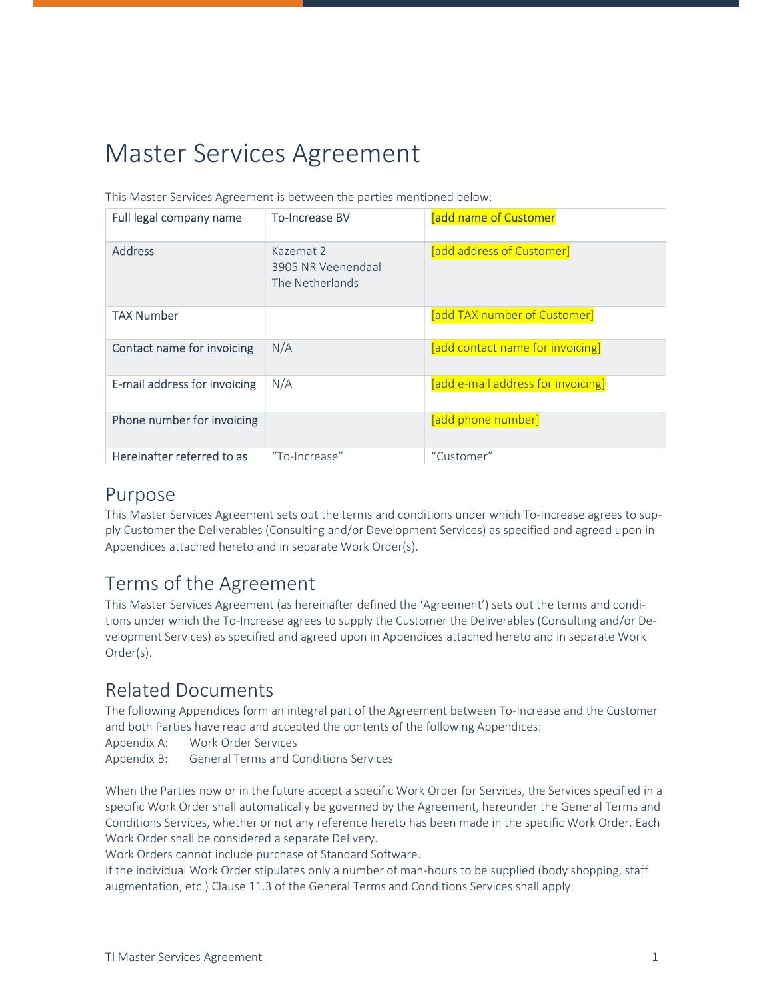# Master Services Agreement

| Full legal company name      | <b>To-Increase BV</b>                              | [add name of Customer              |
|------------------------------|----------------------------------------------------|------------------------------------|
| <b>Address</b>               | Kazemat 2<br>3905 NR Veenendaal<br>The Netherlands | [add address of Customer]          |
| <b>TAX Number</b>            |                                                    | [add TAX number of Customer]       |
| Contact name for invoicing   | N/A                                                | [add contact name for invoicing]   |
| E-mail address for invoicing | N/A                                                | [add e-mail address for invoicing] |
| Phone number for invoicing   |                                                    | [add phone number]                 |
| Hereinafter referred to as   | "To-Increase"                                      | "Customer"                         |

This Master Services Agreement is between the parties mentioned below:

#### Purpose

This Master Services Agreement sets out the terms and conditions under which To-Increase agrees to supply Customer the Deliverables (Consulting and/or Development Services) as specified and agreed upon in Appendices attached hereto and in separate Work Order(s).

## Terms of the Agreement

This Master Services Agreement (as hereinafter defined the 'Agreement') sets out the terms and conditions under which the To-Increase agrees to supply the Customer the Deliverables (Consulting and/or Development Services) as specified and agreed upon in Appendices attached hereto and in separate Work Order(s).

#### Related Documents

The following Appendices form an integral part of the Agreement between To-Increase and the Customer and both Parties have read and accepted the contents of the following Appendices: Appendix A: Work Order Services

Appendix B: General Terms and Conditions Services

When the Parties now or in the future accept a specific Work Order for Services, the Services specified in a specific Work Order shall automatically be governed by the Agreement, hereunder the General Terms and Conditions Services, whether or not any reference hereto has been made in the specific Work Order. Each Work Order shall be considered a separate Delivery.

Work Orders cannot include purchase of Standard Software.

If the individual Work Order stipulates only a number of man-hours to be supplied (body shopping, staff augmentation, etc.) Clause 11.3 of the General Terms and Conditions Services shall apply.